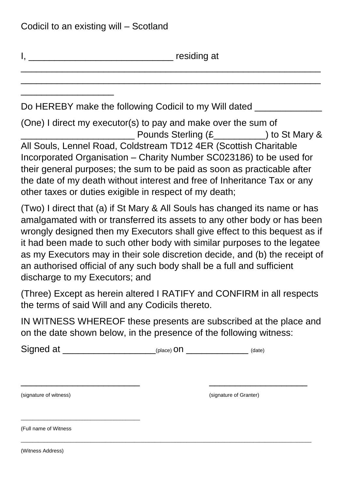\_\_\_\_\_\_\_\_\_\_\_\_\_\_\_\_\_\_

I, \_\_\_\_\_\_\_\_\_\_\_\_\_\_\_\_\_\_\_\_\_\_\_\_\_\_\_\_ residing at

Do HEREBY make the following Codicil to my Will dated

(One) I direct my executor(s) to pay and make over the sum of example Pounds Sterling  $(E_1, E_2)$  to St Mary & All Souls, Lennel Road, Coldstream TD12 4ER (Scottish Charitable Incorporated Organisation – Charity Number SC023186) to be used for their general purposes; the sum to be paid as soon as practicable after the date of my death without interest and free of Inheritance Tax or any other taxes or duties exigible in respect of my death;

\_\_\_\_\_\_\_\_\_\_\_\_\_\_\_\_\_\_\_\_\_\_\_\_\_\_\_\_\_\_\_\_\_\_\_\_\_\_\_\_\_\_\_\_\_\_\_\_\_\_\_\_\_\_\_\_\_\_ \_\_\_\_\_\_\_\_\_\_\_\_\_\_\_\_\_\_\_\_\_\_\_\_\_\_\_\_\_\_\_\_\_\_\_\_\_\_\_\_\_\_\_\_\_\_\_\_\_\_\_\_\_\_\_\_\_\_

(Two) I direct that (a) if St Mary & All Souls has changed its name or has amalgamated with or transferred its assets to any other body or has been wrongly designed then my Executors shall give effect to this bequest as if it had been made to such other body with similar purposes to the legatee as my Executors may in their sole discretion decide, and (b) the receipt of an authorised official of any such body shall be a full and sufficient discharge to my Executors; and

(Three) Except as herein altered I RATIFY and CONFIRM in all respects the terms of said Will and any Codicils thereto.

IN WITNESS WHEREOF these presents are subscribed at the place and on the date shown below, in the presence of the following witness:

\_\_\_\_\_\_\_\_\_\_\_\_\_\_\_\_\_\_\_\_\_\_\_ \_\_\_\_\_\_\_\_\_\_\_\_\_\_\_\_\_\_\_

\_\_\_\_\_\_\_\_\_\_\_\_\_\_\_\_\_\_\_\_\_\_\_\_\_\_\_\_\_\_\_\_\_\_\_\_\_\_\_\_\_\_\_\_\_\_\_\_\_\_\_\_\_\_\_\_\_\_\_\_\_\_\_\_\_\_\_\_\_\_\_\_\_\_\_\_\_\_\_\_\_\_\_\_\_\_\_\_\_\_\_\_\_\_\_\_\_\_\_\_

Signed at  $_{\text{(place) on}}$ 

(signature of witness) (signature of Granter)

(Full name of Witness

\_\_\_\_\_\_\_\_\_\_\_\_\_\_\_\_\_\_\_\_\_\_\_\_\_\_\_\_\_\_\_\_\_\_\_\_\_\_\_\_\_

(Witness Address)